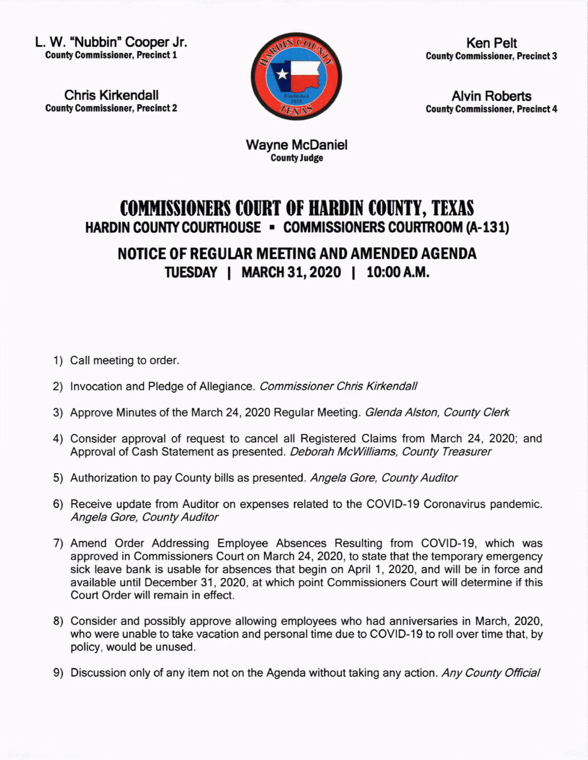L. W. "Nubbin" Cooper Jr. **County Commissioner, Precinct 1** 

Chris Kirkendall **County Commissioner, Precinct 2** 



Ken Pelt **County Commissioner, Precinct 3** 

**Alvin Roberts County Commissioner, Precinct 4** 

Wayne McDaniel County Judge

## **COMMISSIONERS COURT OF HARDIN COUNTY, TEXAS** HARDIN COUNTY COURTHOUSE - COMMISSIONERS COURTROOM (A-131)

NOTICE OF REGUlAR MEEIING AND AMENDED AGENDA TUESDAY I MARCH 31,2020 I 10:00A.M.

- 1) Call meeting to order.
- 2) Invocation and Pledge of Allegiance. Commissioner Chris Kirkendall
- 3) Approve Minutes of the March 24, 2020 Regular Meeting. Glenda Alston, County Clerk
- 4) Consider approval of request to cancel all Registered Claims from March 24, 2020; and Approval of Cash Statement as presented. Deborah McWilliams, County Treasurer
- 5) Authorization to pay County bills as presented. Angela Gore, County Auditor
- 6) Receive update from Auditor on expenses related to the COVID-19 Coronavirus pandemic Angela Gore, County Auditor
- 7) Amend Order Addressing Employee Absences Resulting from COVID-19, which was approved in Commissioners Court on March 24, 2020, to state that the temporary emergency sick leave bank is usable for absences that begin on April 1, 2020, and will be in force and available until December 31,2020, at which point Commissioners Court will determine if this Court Order will remain in effect.
- 8) Consider and possibly approve allowing employees who had anniversaries in March, 2020, who were unable to take vacation and personal time due to COVID-19 to roll over time that, by policy, would be unused.
- 9) Discussion only of any item not on the Agenda without taking any action. Any County Official